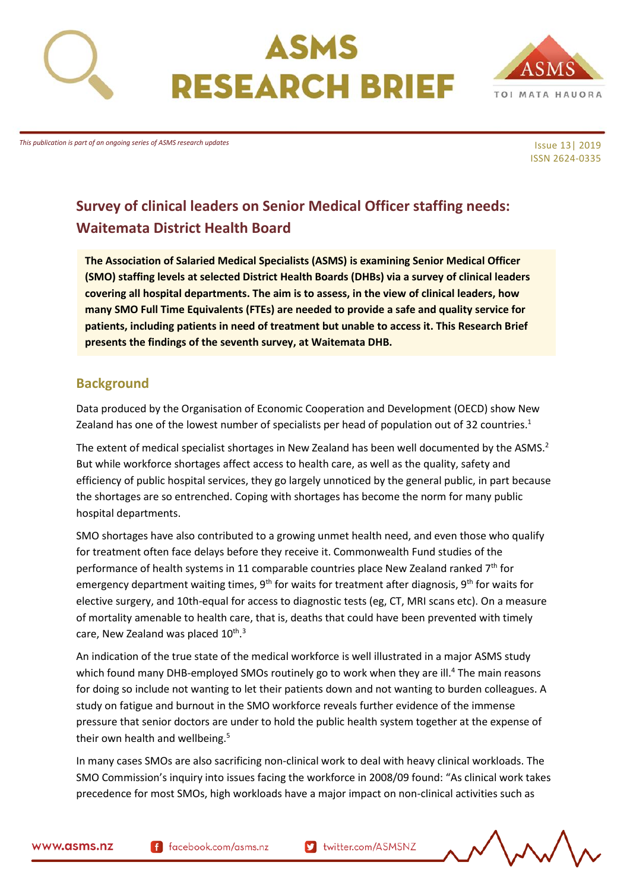





*This publication is part of an ongoing series of ASMS research updates*

Issue 13| 2019 ISSN 2624-0335

# **Survey of clinical leaders on Senior Medical Officer staffing needs: Waitemata District Health Board**

**The Association of Salaried Medical Specialists (ASMS) is examining Senior Medical Officer (SMO) staffing levels at selected District Health Boards (DHBs) via a survey of clinical leaders covering all hospital departments. The aim is to assess, in the view of clinical leaders, how many SMO Full Time Equivalents (FTEs) are needed to provide a safe and quality service for patients, including patients in need of treatment but unable to access it. This Research Brief presents the findings of the seventh survey, at Waitemata DHB.** 

## <span id="page-0-0"></span>**Background**

Data produced by the Organisation of Economic Cooperation and Development (OECD) show New Zealand has one of the lowest number of specialists per head of population out of 32 countries.<sup>1</sup>

The extent of medical specialist shortages in New Zealand has been well documented by the ASMS.<sup>2</sup> But while workforce shortages affect access to health care, as well as the quality, safety and efficiency of public hospital services, they go largely unnoticed by the general public, in part because the shortages are so entrenched. Coping with shortages has become the norm for many public hospital departments.

SMO shortages have also contributed to a growing unmet health need, and even those who qualify for treatment often face delays before they receive it. Commonwealth Fund studies of the performance of health systems in 11 comparable countries place New Zealand ranked  $7<sup>th</sup>$  for emergency department waiting times,  $9<sup>th</sup>$  for waits for treatment after diagnosis,  $9<sup>th</sup>$  for waits for elective surgery, and 10th-equal for access to diagnostic tests (eg, CT, MRI scans etc). On a measure of mortality amenable to health care, that is, deaths that could have been prevented with timely care, New Zealand was placed 10<sup>th</sup>.<sup>3</sup>

An indication of the true state of the medical workforce is well illustrated in a major ASMS study which found many DHB-employed SMOs routinely go to work when they are ill.<sup>4</sup> The main reasons for doing so include not wanting to let their patients down and not wanting to burden colleagues. A study on fatigue and burnout in the SMO workforce reveals further evidence of the immense pressure that senior doctors are under to hold the public health system together at the expense of their own health and wellbeing.<sup>5</sup>

In many cases SMOs are also sacrificing non-clinical work to deal with heavy clinical workloads. The SMO Commission's inquiry into issues facing the workforce in 2008/09 found: "As clinical work takes precedence for most SMOs, high workloads have a major impact on non-clinical activities such as

f facebook.com/asms.nz

Multer.com/ASMSNZ

$$
\sim\sim\sim\sim\sim
$$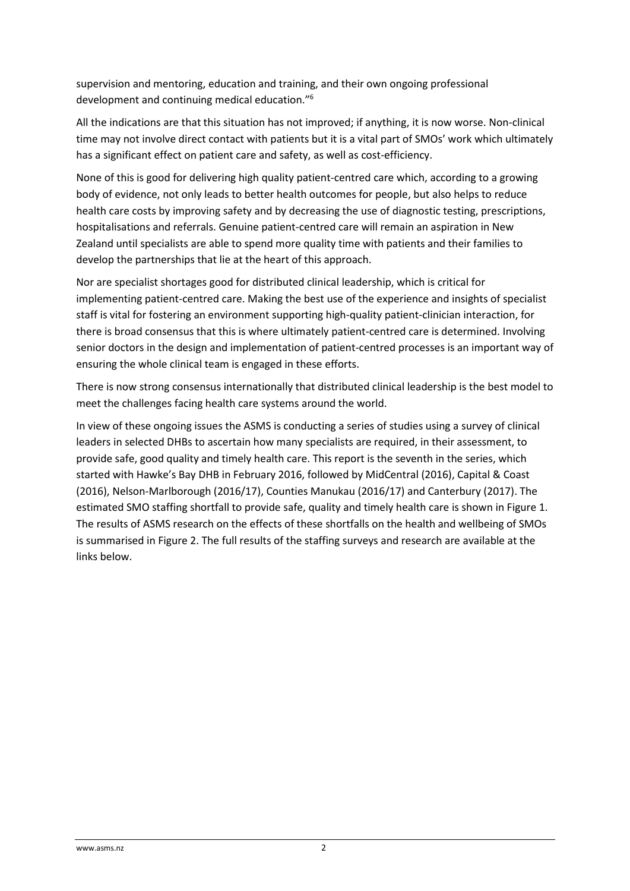supervision and mentoring, education and training, and their own ongoing professional development and continuing medical education." 6

All the indications are that this situation has not improved; if anything, it is now worse. Non-clinical time may not involve direct contact with patients but it is a vital part of SMOs' work which ultimately has a significant effect on patient care and safety, as well as cost-efficiency.

None of this is good for delivering high quality patient-centred care which, according to a growing body of evidence, not only leads to better health outcomes for people, but also helps to reduce health care costs by improving safety and by decreasing the use of diagnostic testing, prescriptions, hospitalisations and referrals. Genuine patient-centred care will remain an aspiration in New Zealand until specialists are able to spend more quality time with patients and their families to develop the partnerships that lie at the heart of this approach.

Nor are specialist shortages good for distributed clinical leadership, which is critical for implementing patient-centred care. Making the best use of the experience and insights of specialist staff is vital for fostering an environment supporting high-quality patient-clinician interaction, for there is broad consensus that this is where ultimately patient-centred care is determined. Involving senior doctors in the design and implementation of patient-centred processes is an important way of ensuring the whole clinical team is engaged in these efforts.

There is now strong consensus internationally that distributed clinical leadership is the best model to meet the challenges facing health care systems around the world.

In view of these ongoing issues the ASMS is conducting a series of studies using a survey of clinical leaders in selected DHBs to ascertain how many specialists are required, in their assessment, to provide safe, good quality and timely health care. This report is the seventh in the series, which started with Hawke's Bay DHB in February 2016, followed by MidCentral (2016), Capital & Coast (2016), Nelson-Marlborough (2016/17), Counties Manukau (2016/17) and Canterbury (2017). The estimated SMO staffing shortfall to provide safe, quality and timely health care is shown in Figure 1. The results of ASMS research on the effects of these shortfalls on the health and wellbeing of SMOs is summarised in Figure 2. The full results of the staffing surveys and research are available at the links below.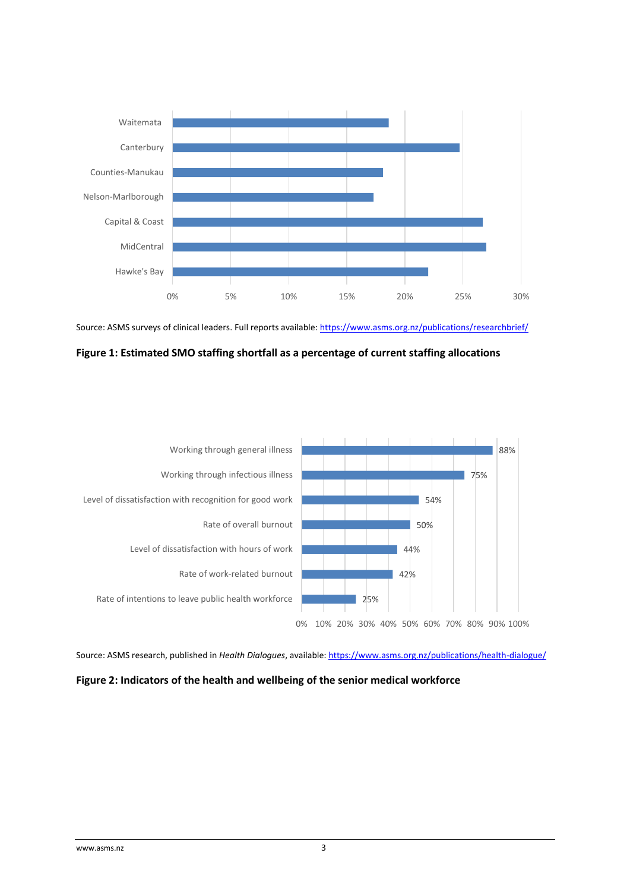

Source: ASMS surveys of clinical leaders. Full reports available[: https://www.asms.org.nz/publications/researchbrief/](https://www.asms.org.nz/publications/researchbrief/)

<span id="page-2-0"></span>



Source: ASMS research, published in *Health Dialogues*, available[: https://www.asms.org.nz/publications/health-dialogue/](https://www.asms.org.nz/publications/health-dialogue/)

### <span id="page-2-1"></span>**Figure 2: Indicators of the health and wellbeing of the senior medical workforce**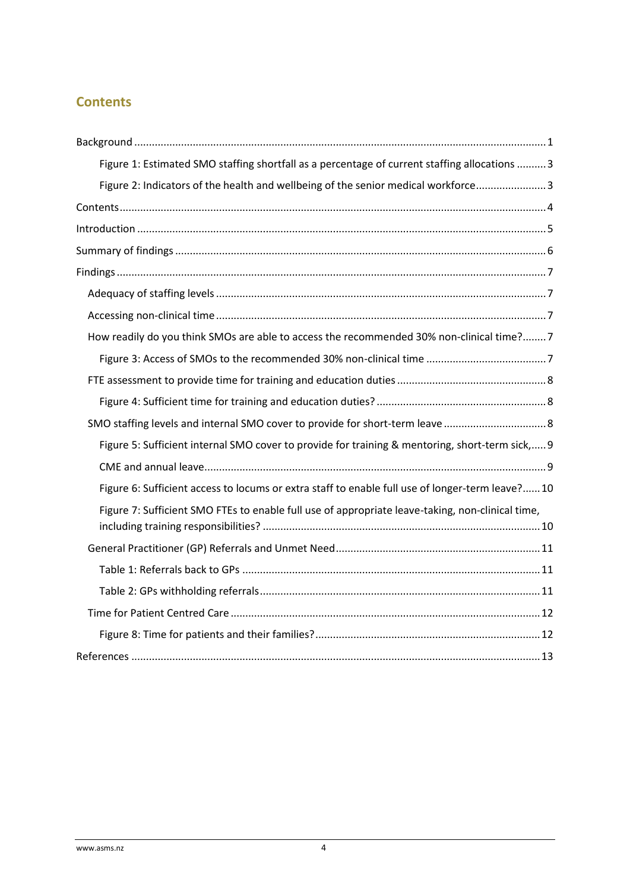## <span id="page-3-0"></span>**Contents**

| Figure 1: Estimated SMO staffing shortfall as a percentage of current staffing allocations  3    |
|--------------------------------------------------------------------------------------------------|
| Figure 2: Indicators of the health and wellbeing of the senior medical workforce3                |
|                                                                                                  |
|                                                                                                  |
|                                                                                                  |
|                                                                                                  |
|                                                                                                  |
|                                                                                                  |
| How readily do you think SMOs are able to access the recommended 30% non-clinical time?7         |
|                                                                                                  |
|                                                                                                  |
|                                                                                                  |
|                                                                                                  |
| Figure 5: Sufficient internal SMO cover to provide for training & mentoring, short-term sick, 9  |
|                                                                                                  |
| Figure 6: Sufficient access to locums or extra staff to enable full use of longer-term leave? 10 |
| Figure 7: Sufficient SMO FTEs to enable full use of appropriate leave-taking, non-clinical time, |
|                                                                                                  |
|                                                                                                  |
|                                                                                                  |
|                                                                                                  |
|                                                                                                  |
|                                                                                                  |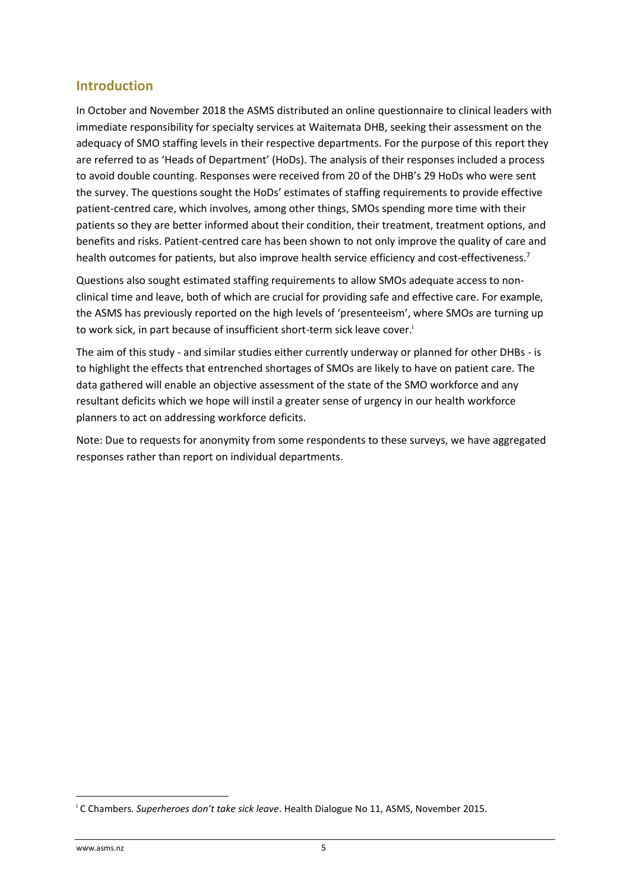## <span id="page-4-0"></span>**Introduction**

In October and November 2018 the ASMS distributed an online questionnaire to clinical leaders with immediate responsibility for specialty services at Waitemata DHB, seeking their assessment on the adequacy of SMO staffing levels in their respective departments. For the purpose of this report they are referred to as 'Heads of Department' (HoDs). The analysis of their responses included a process to avoid double counting. Responses were received from 20 of the DHB's 29 HoDs who were sent the survey. The questions sought the HoDs' estimates of staffing requirements to provide effective patient-centred care, which involves, among other things, SMOs spending more time with their patients so they are better informed about their condition, their treatment, treatment options, and benefits and risks. Patient-centred care has been shown to not only improve the quality of care and health outcomes for patients, but also improve health service efficiency and cost-effectiveness.<sup>7</sup>

Questions also sought estimated staffing requirements to allow SMOs adequate access to nonclinical time and leave, both of which are crucial for providing safe and effective care. For example, the ASMS has previously reported on the high levels of 'presenteeism', where SMOs are turning up to work sick, in part because of insufficient short-term sick leave cover.<sup>i</sup>

The aim of this study - and similar studies either currently underway or planned for other DHBs - is to highlight the effects that entrenched shortages of SMOs are likely to have on patient care. The data gathered will enable an objective assessment of the state of the SMO workforce and any resultant deficits which we hope will instil a greater sense of urgency in our health workforce planners to act on addressing workforce deficits.

Note: Due to requests for anonymity from some respondents to these surveys, we have aggregated responses rather than report on individual departments.

**.** 

<sup>i</sup> C Chambers*. Superheroes don't take sick leave*. Health Dialogue No 11, ASMS, November 2015.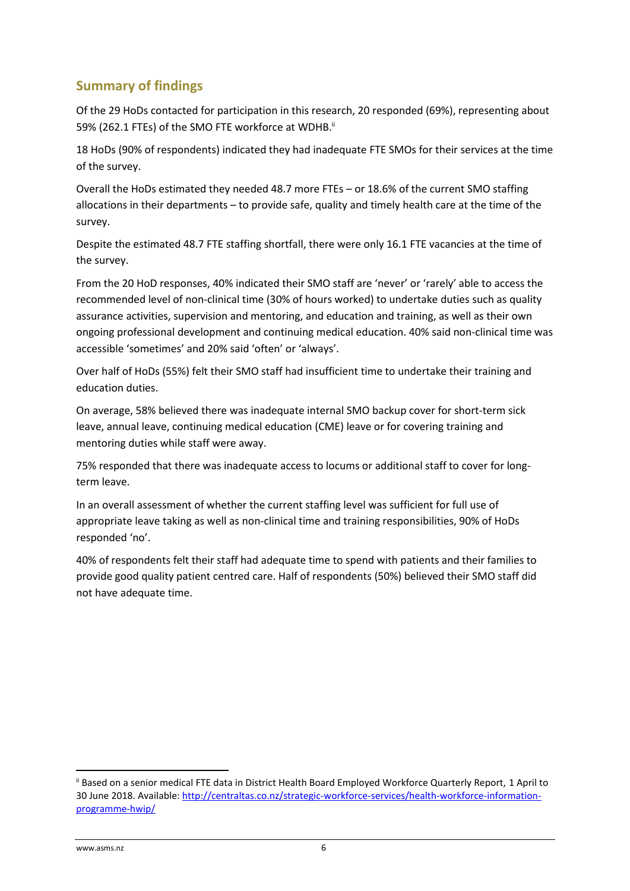## <span id="page-5-0"></span>**Summary of findings**

Of the 29 HoDs contacted for participation in this research, 20 responded (69%), representing about 59% (262.1 FTEs) of the SMO FTE workforce at WDHB.<sup>ii</sup>

18 HoDs (90% of respondents) indicated they had inadequate FTE SMOs for their services at the time of the survey.

Overall the HoDs estimated they needed 48.7 more FTEs – or 18.6% of the current SMO staffing allocations in their departments – to provide safe, quality and timely health care at the time of the survey.

Despite the estimated 48.7 FTE staffing shortfall, there were only 16.1 FTE vacancies at the time of the survey.

From the 20 HoD responses, 40% indicated their SMO staff are 'never' or 'rarely' able to access the recommended level of non-clinical time (30% of hours worked) to undertake duties such as quality assurance activities, supervision and mentoring, and education and training, as well as their own ongoing professional development and continuing medical education. 40% said non-clinical time was accessible 'sometimes' and 20% said 'often' or 'always'.

Over half of HoDs (55%) felt their SMO staff had insufficient time to undertake their training and education duties.

On average, 58% believed there was inadequate internal SMO backup cover for short-term sick leave, annual leave, continuing medical education (CME) leave or for covering training and mentoring duties while staff were away.

75% responded that there was inadequate access to locums or additional staff to cover for longterm leave.

In an overall assessment of whether the current staffing level was sufficient for full use of appropriate leave taking as well as non-clinical time and training responsibilities, 90% of HoDs responded 'no'.

40% of respondents felt their staff had adequate time to spend with patients and their families to provide good quality patient centred care. Half of respondents (50%) believed their SMO staff did not have adequate time.

**.** 

ii Based on a senior medical FTE data in District Health Board Employed Workforce Quarterly Report, 1 April to 30 June 2018. Available: [http://centraltas.co.nz/strategic-workforce-services/health-workforce-information](http://centraltas.co.nz/strategic-workforce-services/health-workforce-information-programme-hwip/)[programme-hwip/](http://centraltas.co.nz/strategic-workforce-services/health-workforce-information-programme-hwip/)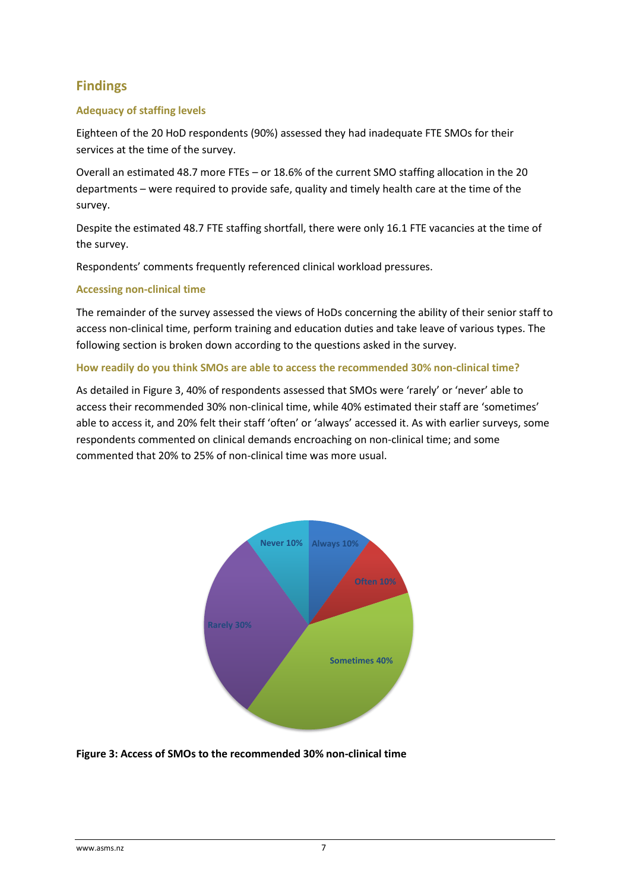## <span id="page-6-0"></span>**Findings**

## <span id="page-6-1"></span>**Adequacy of staffing levels**

Eighteen of the 20 HoD respondents (90%) assessed they had inadequate FTE SMOs for their services at the time of the survey.

Overall an estimated 48.7 more FTEs – or 18.6% of the current SMO staffing allocation in the 20 departments – were required to provide safe, quality and timely health care at the time of the survey.

Despite the estimated 48.7 FTE staffing shortfall, there were only 16.1 FTE vacancies at the time of the survey.

Respondents' comments frequently referenced clinical workload pressures.

### <span id="page-6-2"></span>**Accessing non-clinical time**

The remainder of the survey assessed the views of HoDs concerning the ability of their senior staff to access non-clinical time, perform training and education duties and take leave of various types. The following section is broken down according to the questions asked in the survey.

#### <span id="page-6-3"></span>**How readily do you think SMOs are able to access the recommended 30% non-clinical time?**

As detailed in Figure 3, 40% of respondents assessed that SMOs were 'rarely' or 'never' able to access their recommended 30% non-clinical time, while 40% estimated their staff are 'sometimes' able to access it, and 20% felt their staff 'often' or 'always' accessed it. As with earlier surveys, some respondents commented on clinical demands encroaching on non-clinical time; and some commented that 20% to 25% of non-clinical time was more usual.



### <span id="page-6-4"></span>**Figure 3: Access of SMOs to the recommended 30% non-clinical time**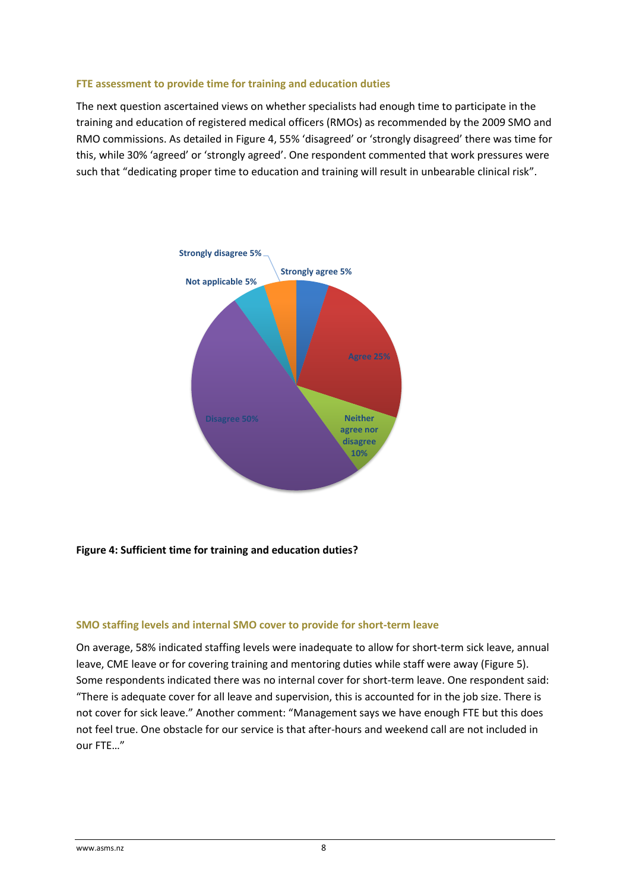#### <span id="page-7-0"></span>**FTE assessment to provide time for training and education duties**

The next question ascertained views on whether specialists had enough time to participate in the training and education of registered medical officers (RMOs) as recommended by the 2009 SMO and RMO commissions. As detailed in Figure 4, 55% 'disagreed' or 'strongly disagreed' there was time for this, while 30% 'agreed' or 'strongly agreed'. One respondent commented that work pressures were such that "dedicating proper time to education and training will result in unbearable clinical risk".



### <span id="page-7-1"></span>**Figure 4: Sufficient time for training and education duties?**

#### <span id="page-7-2"></span>**SMO staffing levels and internal SMO cover to provide for short-term leave**

On average, 58% indicated staffing levels were inadequate to allow for short-term sick leave, annual leave, CME leave or for covering training and mentoring duties while staff were away (Figure 5). Some respondents indicated there was no internal cover for short-term leave. One respondent said: "There is adequate cover for all leave and supervision, this is accounted for in the job size. There is not cover for sick leave." Another comment: "Management says we have enough FTE but this does not feel true. One obstacle for our service is that after-hours and weekend call are not included in our FTE…"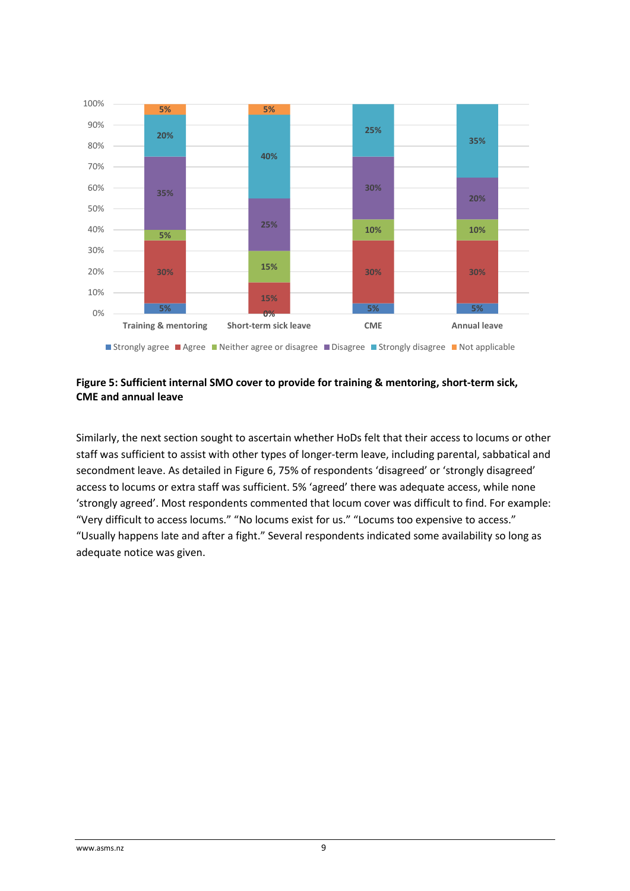

## <span id="page-8-1"></span><span id="page-8-0"></span>**Figure 5: Sufficient internal SMO cover to provide for training & mentoring, short-term sick, CME and annual leave**

Similarly, the next section sought to ascertain whether HoDs felt that their access to locums or other staff was sufficient to assist with other types of longer-term leave, including parental, sabbatical and secondment leave. As detailed in Figure 6, 75% of respondents 'disagreed' or 'strongly disagreed' access to locums or extra staff was sufficient. 5% 'agreed' there was adequate access, while none 'strongly agreed'. Most respondents commented that locum cover was difficult to find. For example: "Very difficult to access locums." "No locums exist for us." "Locums too expensive to access." "Usually happens late and after a fight." Several respondents indicated some availability so long as adequate notice was given.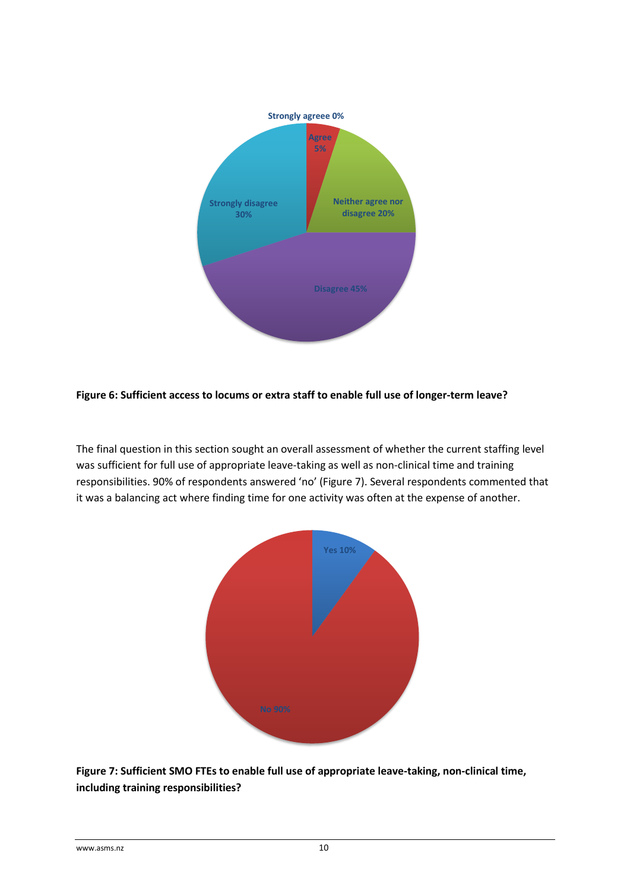

## <span id="page-9-0"></span>**Figure 6: Sufficient access to locums or extra staff to enable full use of longer-term leave?**

The final question in this section sought an overall assessment of whether the current staffing level was sufficient for full use of appropriate leave-taking as well as non-clinical time and training responsibilities. 90% of respondents answered 'no' (Figure 7). Several respondents commented that it was a balancing act where finding time for one activity was often at the expense of another.



<span id="page-9-1"></span>**Figure 7: Sufficient SMO FTEs to enable full use of appropriate leave-taking, non-clinical time, including training responsibilities?**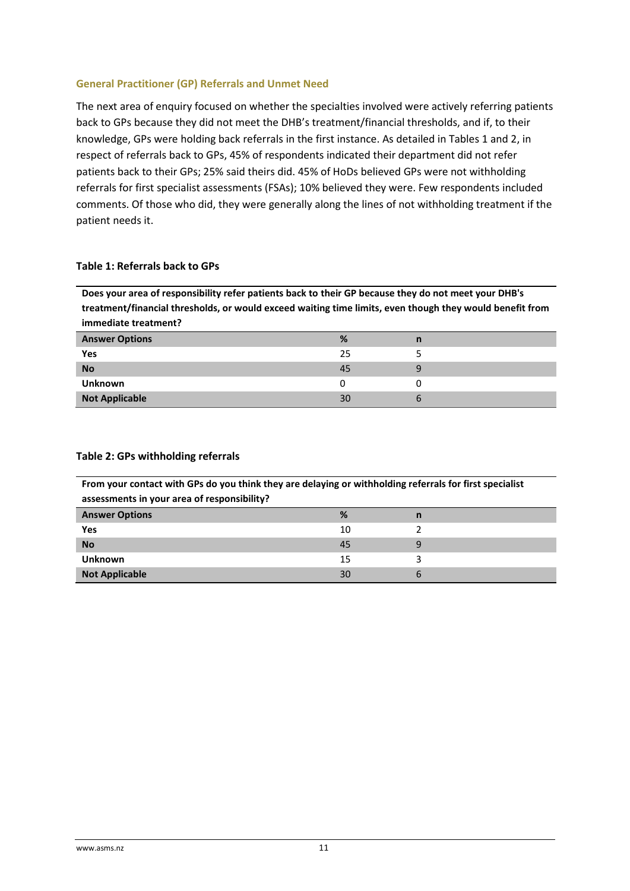#### <span id="page-10-0"></span>**General Practitioner (GP) Referrals and Unmet Need**

The next area of enquiry focused on whether the specialties involved were actively referring patients back to GPs because they did not meet the DHB's treatment/financial thresholds, and if, to their knowledge, GPs were holding back referrals in the first instance. As detailed in Tables 1 and 2, in respect of referrals back to GPs, 45% of respondents indicated their department did not refer patients back to their GPs; 25% said theirs did. 45% of HoDs believed GPs were not withholding referrals for first specialist assessments (FSAs); 10% believed they were. Few respondents included comments. Of those who did, they were generally along the lines of not withholding treatment if the patient needs it.

#### <span id="page-10-1"></span>**Table 1: Referrals back to GPs**

**Does your area of responsibility refer patients back to their GP because they do not meet your DHB's treatment/financial thresholds, or would exceed waiting time limits, even though they would benefit from immediate treatment?**

| <b>Answer Options</b> | %  | n |
|-----------------------|----|---|
| Yes                   | 25 |   |
| <b>No</b>             | 45 |   |
| <b>Unknown</b>        |    |   |
| <b>Not Applicable</b> | 30 |   |

| <b>TOM YOU CONGET MINIT OF SAO YOU GAMIN GIVY SIX SCRYING OF MINIMORING INTERFERIOR IN SECTION</b><br>assessments in your area of responsibility? |    |   |  |
|---------------------------------------------------------------------------------------------------------------------------------------------------|----|---|--|
| <b>Answer Options</b>                                                                                                                             | %  | n |  |
| Yes                                                                                                                                               | 10 |   |  |
| <b>No</b>                                                                                                                                         | 45 |   |  |
| <b>Unknown</b>                                                                                                                                    | 15 |   |  |
| <b>Not Applicable</b>                                                                                                                             | 30 |   |  |

#### <span id="page-10-2"></span>**Table 2: GPs withholding referrals**

**From your contact with GPs do you think they are delaying or withholding referrals for first specialist**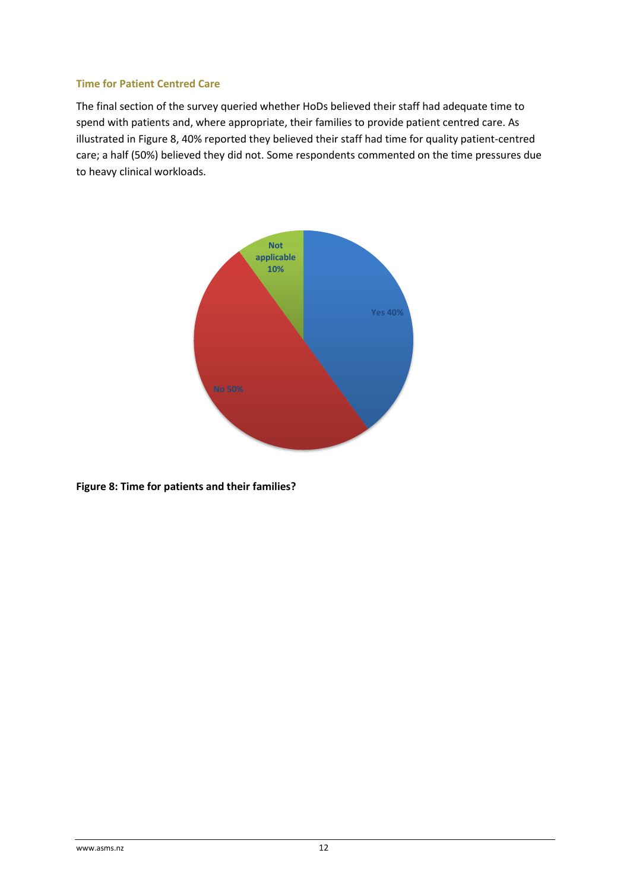#### <span id="page-11-0"></span>**Time for Patient Centred Care**

The final section of the survey queried whether HoDs believed their staff had adequate time to spend with patients and, where appropriate, their families to provide patient centred care. As illustrated in [Figu](#page-11-1)re 8, 40% reported they believed their staff had time for quality patient-centred care; a half (50%) believed they did not. Some respondents commented on the time pressures due to heavy clinical workloads.



<span id="page-11-1"></span>**Figure 8: Time for patients and their families?**